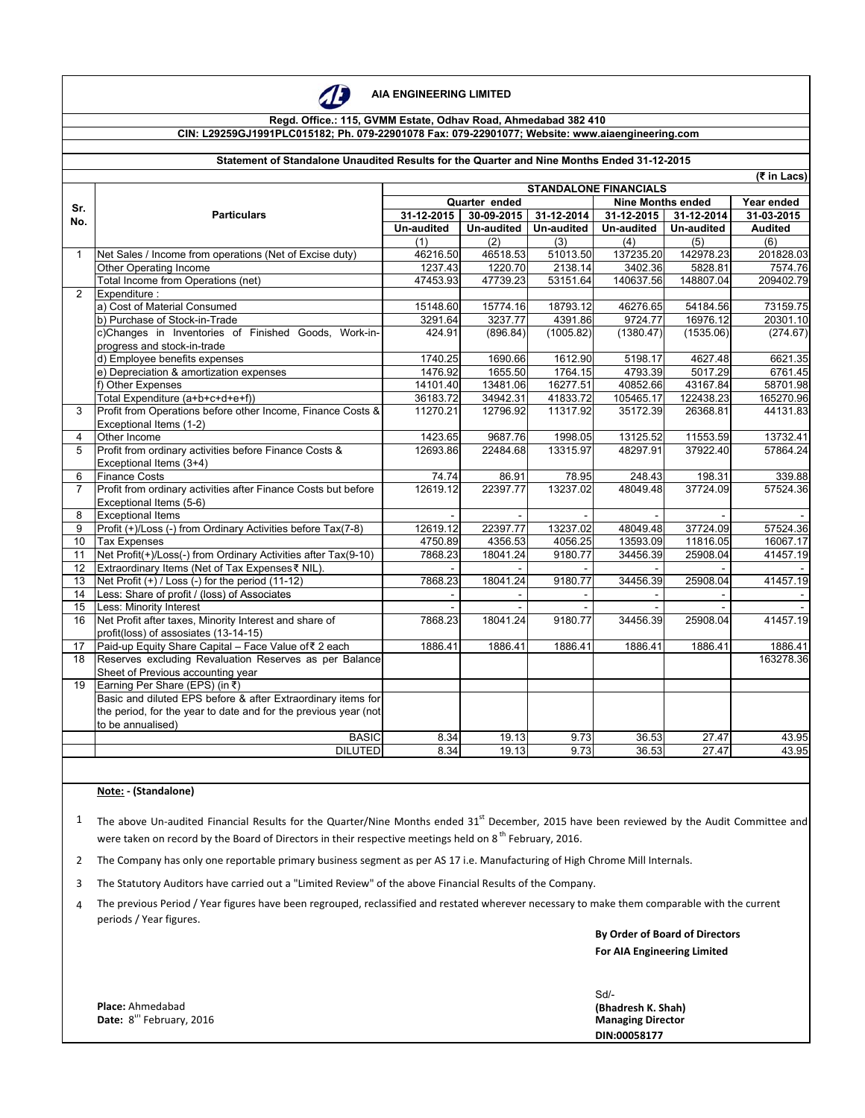

 **AIA ENGINEERING LIMITED** 

## **Regd. Office.: 115, GVMM Estate, Odhav Road, Ahmedabad 382 410 CIN: L29259GJ1991PLC015182; Ph. 079-22901078 Fax: 079-22901077; Website: www.aiaengineering.com**

### **Statement of Standalone Unaudited Results for the Quarter and Nine Months Ended 31-12-2015**

|                | (₹ in Lacs)                                                     |                              |                   |                          |                          |            |                |
|----------------|-----------------------------------------------------------------|------------------------------|-------------------|--------------------------|--------------------------|------------|----------------|
|                |                                                                 | <b>STANDALONE FINANCIALS</b> |                   |                          |                          |            |                |
| Sr.            |                                                                 | Quarter ended                |                   |                          | <b>Nine Months ended</b> |            | Year ended     |
| No.            | <b>Particulars</b>                                              | 31-12-2015                   | 30-09-2015        | 31-12-2014               | 31-12-2015               | 31-12-2014 | 31-03-2015     |
|                |                                                                 | Un-audited                   | <b>Un-audited</b> | Un-audited               | Un-audited               | Un-audited | <b>Audited</b> |
|                |                                                                 | (1)                          | (2)               | (3)                      | (4)                      | (5)        | (6)            |
| $\mathbf{1}$   | Net Sales / Income from operations (Net of Excise duty)         | 46216.50                     | 46518.53          | 51013.50                 | 137235.20                | 142978.23  | 201828.03      |
|                | Other Operating Income                                          | 1237.43                      | 1220.70           | 2138.14                  | 3402.36                  | 5828.81    | 7574.76        |
|                | Total Income from Operations (net)                              | 47453.93                     | 47739.23          | 53151.64                 | 140637.56                | 148807.04  | 209402.79      |
| $\overline{2}$ | Expenditure:                                                    |                              |                   |                          |                          |            |                |
|                | a) Cost of Material Consumed                                    | 15148.60                     | 15774.16          | 18793.12                 | 46276.65                 | 54184.56   | 73159.75       |
|                | b) Purchase of Stock-in-Trade                                   | 3291.64                      | 3237.77           | 4391.86                  | 9724.77                  | 16976.12   | 20301.10       |
|                | c)Changes in Inventories of Finished Goods, Work-in-            | 424.91                       | (896.84)          | (1005.82)                | (1380.47)                | (1535.06)  | (274.67)       |
|                | progress and stock-in-trade                                     |                              |                   |                          |                          |            |                |
|                | d) Employee benefits expenses                                   | 1740.25                      | 1690.66           | 1612.90                  | 5198.17                  | 4627.48    | 6621.35        |
|                | e) Depreciation & amortization expenses                         | 1476.92                      | 1655.50           | 1764.15                  | 4793.39                  | 5017.29    | 6761.45        |
|                | f) Other Expenses                                               | 14101.40                     | 13481.06          | 16277.51                 | 40852.66                 | 43167.84   | 58701.98       |
|                | Total Expenditure (a+b+c+d+e+f))                                | 36183.72                     | 34942.31          | 41833.72                 | 105465.17                | 122438.23  | 165270.96      |
| 3              | Profit from Operations before other Income, Finance Costs &     | 11270.21                     | 12796.92          | 11317.92                 | 35172.39                 | 26368.81   | 44131.83       |
|                | Exceptional Items (1-2)                                         |                              |                   |                          |                          |            |                |
| 4              | Other Income                                                    | 1423.65                      | 9687.76           | 1998.05                  | 13125.52                 | 11553.59   | 13732.41       |
| 5              | Profit from ordinary activities before Finance Costs &          | 12693.86                     | 22484.68          | 13315.97                 | 48297.91                 | 37922.40   | 57864.24       |
|                | Exceptional Items (3+4)                                         |                              |                   |                          |                          |            |                |
| 6              | <b>Finance Costs</b>                                            | 74.74                        | 86.91             | 78.95                    | 248.43                   | 198.31     | 339.88         |
| $\overline{7}$ | Profit from ordinary activities after Finance Costs but before  | 12619.12                     | 22397.77          | 13237.02                 | 48049.48                 | 37724.09   | 57524.36       |
|                | Exceptional Items (5-6)                                         |                              |                   |                          |                          |            |                |
| 8              | <b>Exceptional Items</b>                                        |                              |                   |                          |                          |            |                |
| 9              | Profit (+)/Loss (-) from Ordinary Activities before Tax(7-8)    | 12619.12                     | 22397.77          | 13237.02                 | 48049.48                 | 37724.09   | 57524.36       |
| 10             | <b>Tax Expenses</b>                                             | 4750.89                      | 4356.53           | 4056.25                  | 13593.09                 | 11816.05   | 16067.17       |
| 11             | Net Profit(+)/Loss(-) from Ordinary Activities after Tax(9-10)  | 7868.23                      | 18041.24          | 9180.77                  | 34456.39                 | 25908.04   | 41457.19       |
| 12             | Extraordinary Items (Net of Tax Expenses₹ NIL)                  |                              |                   |                          |                          |            |                |
| 13             | Net Profit (+) / Loss (-) for the period (11-12)                | 7868.23                      | 18041.24          | 9180.77                  | 34456.39                 | 25908.04   | 41457.19       |
| 14             | Less: Share of profit / (loss) of Associates                    |                              |                   | $\overline{\phantom{a}}$ |                          |            |                |
| 15             | Less: Minority Interest                                         |                              |                   |                          |                          |            |                |
| 16             | Net Profit after taxes, Minority Interest and share of          | 7868.23                      | 18041.24          | 9180.77                  | 34456.39                 | 25908.04   | 41457.19       |
|                | profit(loss) of assosiates (13-14-15)                           |                              |                   |                          |                          |            |                |
| 17             | Paid-up Equity Share Capital - Face Value of ₹ 2 each           | 1886.41                      | 1886.41           | 1886.41                  | 1886.41                  | 1886.41    | 1886.41        |
| 18             | Reserves excluding Revaluation Reserves as per Balance          |                              |                   |                          |                          |            | 163278.36      |
|                | Sheet of Previous accounting year                               |                              |                   |                          |                          |            |                |
| 19             | Earning Per Share (EPS) (in ₹)                                  |                              |                   |                          |                          |            |                |
|                | Basic and diluted EPS before & after Extraordinary items for    |                              |                   |                          |                          |            |                |
|                | the period, for the year to date and for the previous year (not |                              |                   |                          |                          |            |                |
|                | to be annualised)                                               |                              |                   |                          |                          |            |                |
|                | <b>BASIC</b>                                                    | 8.34                         | 19.13             | 9.73                     | 36.53                    | 27.47      | 43.95          |
|                | <b>DILUTED</b>                                                  | 8.34                         | 19.13             | 9.73                     | 36.53                    | 27.47      | 43.95          |
|                |                                                                 |                              |                   |                          |                          |            |                |

## **Note: ‐ (Standalone)**

1 The above Un-audited Financial Results for the Quarter/Nine Months ended  $31<sup>st</sup>$  December, 2015 have been reviewed by the Audit Committee and were taken on record by the Board of Directors in their respective meetings held on 8<sup>th</sup> February, 2016.

2 The Company has only one reportable primary business segment as per AS 17 i.e. Manufacturing of High Chrome Mill Internals.

3 The Statutory Auditors have carried out a "Limited Review" of the above Financial Results of the Company.

4 The previous Period / Year figures have been regrouped, reclassified and restated wherever necessary to make them comparable with the current periods / Year figures.

> **By Order of Board of Directors For AIA Engineering Limited**

**Place:** Ahmedabad Date: 8<sup>th</sup> February, 2016 Sd/- **Managing Director DIN:00058177 (Bhadresh K. Shah)**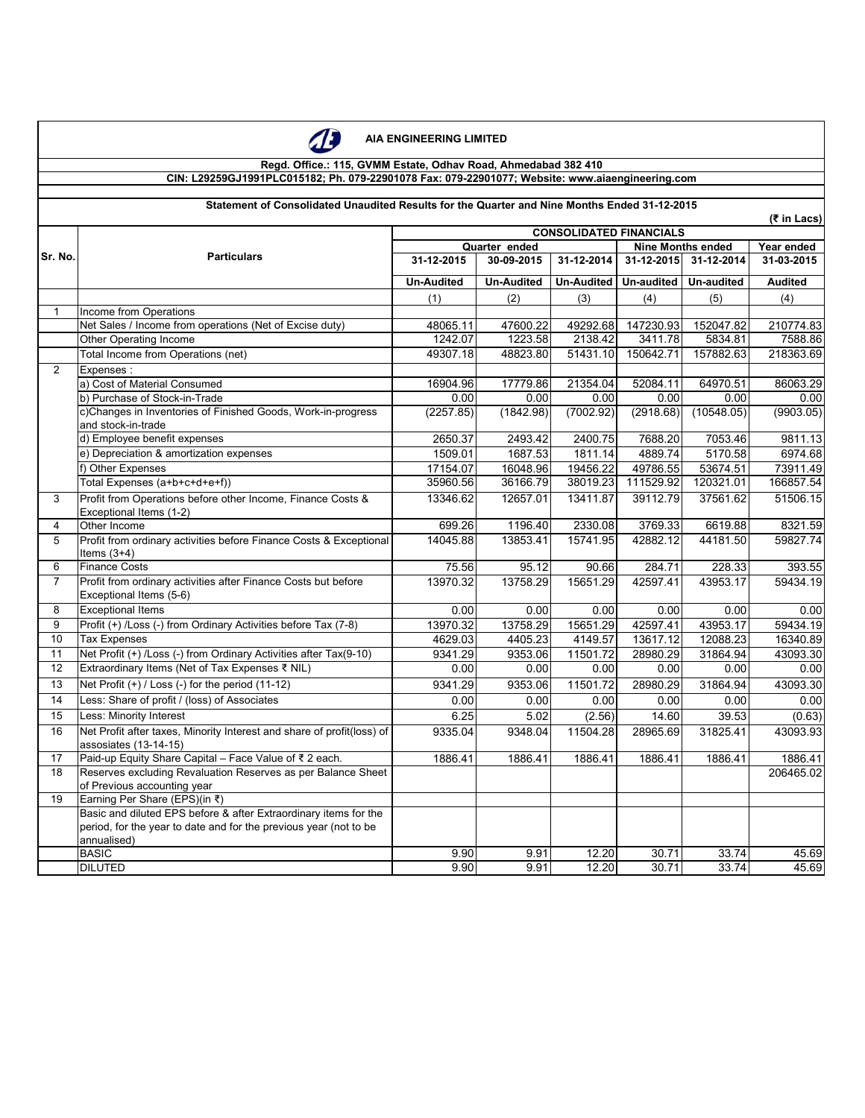

# **AIA ENGINEERING LIMITED**

### **Regd. Office.: 115, GVMM Estate, Odhav Road, Ahmedabad 382 410 CIN: L29259GJ1991PLC015182; Ph. 079-22901078 Fax: 079-22901077; Website: www.aiaengineering.com**

|                |                                                                                           |                   |                             | <b>CONSOLIDATED FINANCIALS</b> |                                                      |            | $(5$ in Lacs)            |  |
|----------------|-------------------------------------------------------------------------------------------|-------------------|-----------------------------|--------------------------------|------------------------------------------------------|------------|--------------------------|--|
|                | <b>Particulars</b>                                                                        |                   |                             |                                |                                                      |            |                          |  |
| Sr. No.        |                                                                                           | 31-12-2015        | Quarter ended<br>30-09-2015 | 31-12-2014                     | <b>Nine Months ended</b><br>31-12-2015<br>31-12-2014 |            | Year ended<br>31-03-2015 |  |
|                |                                                                                           |                   |                             |                                |                                                      |            |                          |  |
|                |                                                                                           | <b>Un-Audited</b> | <b>Un-Audited</b>           | Un-Audited                     | Un-audited                                           | Un-audited | <b>Audited</b>           |  |
|                |                                                                                           | (1)               | (2)                         | (3)                            | (4)                                                  | (5)        | (4)                      |  |
| $\mathbf{1}$   | Income from Operations                                                                    |                   |                             |                                |                                                      |            |                          |  |
|                | Net Sales / Income from operations (Net of Excise duty)                                   | 48065.11          | 47600.22                    | 49292.68                       | 147230.93                                            | 152047.82  | 210774.83                |  |
|                | Other Operating Income                                                                    | 1242.07           | 1223.58                     | 2138.42                        | 3411.78                                              | 5834.81    | 7588.86                  |  |
|                | Total Income from Operations (net)                                                        | 49307.18          | 48823.80                    | 51431.10                       | 150642.71                                            | 157882.63  | 218363.69                |  |
| $\overline{2}$ | Expenses:                                                                                 |                   |                             |                                |                                                      |            |                          |  |
|                | a) Cost of Material Consumed                                                              | 16904.96          | 17779.86                    | 21354.04                       | 52084.11                                             | 64970.51   | 86063.29                 |  |
|                | b) Purchase of Stock-in-Trade                                                             | 0.00              | 0.00                        | 0.00                           | 0.00                                                 | 0.00       | 0.00                     |  |
|                | c)Changes in Inventories of Finished Goods, Work-in-progress                              | (2257.85)         | (1842.98)                   | (7002.92)                      | (2918.68)                                            | (10548.05) | (9903.05)                |  |
|                | and stock-in-trade                                                                        |                   |                             |                                |                                                      |            |                          |  |
|                | d) Employee benefit expenses                                                              | 2650.37           | 2493.42                     | 2400.75                        | 7688.20                                              | 7053.46    | 9811.13                  |  |
|                | e) Depreciation & amortization expenses                                                   | 1509.01           | 1687.53                     | 1811.14                        | 4889.74                                              | 5170.58    | 6974.68                  |  |
|                | f) Other Expenses                                                                         | 17154.07          | 16048.96                    | 19456.22                       | 49786.55                                             | 53674.51   | 73911.49                 |  |
|                | Total Expenses (a+b+c+d+e+f))                                                             | 35960.56          | 36166.79                    | 38019.23                       | 111529.92                                            | 120321.01  | 166857.54                |  |
| 3              | Profit from Operations before other Income, Finance Costs &                               | 13346.62          | 12657.01                    | 13411.87                       | 39112.79                                             | 37561.62   | 51506.15                 |  |
|                | Exceptional Items (1-2)                                                                   |                   |                             |                                |                                                      |            |                          |  |
| 4              | Other Income                                                                              | 699.26            | 1196.40                     | 2330.08                        | 3769.33                                              | 6619.88    | 8321.59                  |  |
| 5              | Profit from ordinary activities before Finance Costs & Exceptional<br>Items $(3+4)$       | 14045.88          | 13853.41                    | 15741.95                       | 42882.12                                             | 44181.50   | 59827.74                 |  |
| 6              | <b>Finance Costs</b>                                                                      | 75.56             | 95.12                       | 90.66                          | 284.71                                               | 228.33     | 393.55                   |  |
| $\overline{7}$ | Profit from ordinary activities after Finance Costs but before<br>Exceptional Items (5-6) | 13970.32          | 13758.29                    | 15651.29                       | 42597.41                                             | 43953.17   | 59434.19                 |  |
| 8              | <b>Exceptional Items</b>                                                                  | 0.00              | 0.00                        | 0.00                           | 0.00                                                 | 0.00       | 0.00                     |  |
| 9              | Profit (+) /Loss (-) from Ordinary Activities before Tax (7-8)                            | 13970.32          | 13758.29                    | 15651.29                       | 42597.41                                             | 43953.17   | 59434.19                 |  |
| 10             | <b>Tax Expenses</b>                                                                       | 4629.03           | 4405.23                     | 4149.57                        | 13617.12                                             | 12088.23   | 16340.89                 |  |
| 11             | Net Profit (+) /Loss (-) from Ordinary Activities after Tax(9-10)                         | 9341.29           | 9353.06                     | 11501.72                       | 28980.29                                             | 31864.94   | 43093.30                 |  |
| 12             | Extraordinary Items (Net of Tax Expenses ₹ NIL)                                           | 0.00              | 0.00                        | 0.00                           | 0.00                                                 | 0.00       | 0.00                     |  |
| 13             | Net Profit (+) / Loss (-) for the period (11-12)                                          | 9341.29           | 9353.06                     | 11501.72                       | 28980.29                                             | 31864.94   | 43093.30                 |  |
| 14             | Less: Share of profit / (loss) of Associates                                              | 0.00              | 0.00                        | 0.00                           | 0.00                                                 | 0.00       | 0.00                     |  |
| 15             | Less: Minority Interest                                                                   | 6.25              | 5.02                        | (2.56)                         | 14.60                                                | 39.53      | (0.63)                   |  |
| 16             | Net Profit after taxes, Minority Interest and share of profit(loss) of                    | 9335.04           | 9348.04                     | 11504.28                       | 28965.69                                             | 31825.41   | 43093.93                 |  |
|                | assosiates (13-14-15)                                                                     |                   |                             |                                |                                                      |            |                          |  |
| 17             | Paid-up Equity Share Capital - Face Value of ₹ 2 each.                                    | 1886.41           | 1886.41                     | 1886.41                        | 1886.41                                              | 1886.41    | 1886.41                  |  |
| 18             | Reserves excluding Revaluation Reserves as per Balance Sheet                              |                   |                             |                                |                                                      |            | 206465.02                |  |
|                | of Previous accounting year                                                               |                   |                             |                                |                                                      |            |                          |  |
| 19             | Earning Per Share (EPS)(in ₹)                                                             |                   |                             |                                |                                                      |            |                          |  |
|                | Basic and diluted EPS before & after Extraordinary items for the                          |                   |                             |                                |                                                      |            |                          |  |
|                | period, for the year to date and for the previous year (not to be                         |                   |                             |                                |                                                      |            |                          |  |
|                | annualised)                                                                               |                   |                             |                                |                                                      |            |                          |  |
|                | <b>BASIC</b>                                                                              | 9.90              | 9.91                        | 12.20                          | 30.71                                                | 33.74      | 45.69                    |  |
|                | <b>DILUTED</b>                                                                            | 9.90              | 9.91                        | 12.20                          | 30.71                                                | 33.74      | 45.69                    |  |